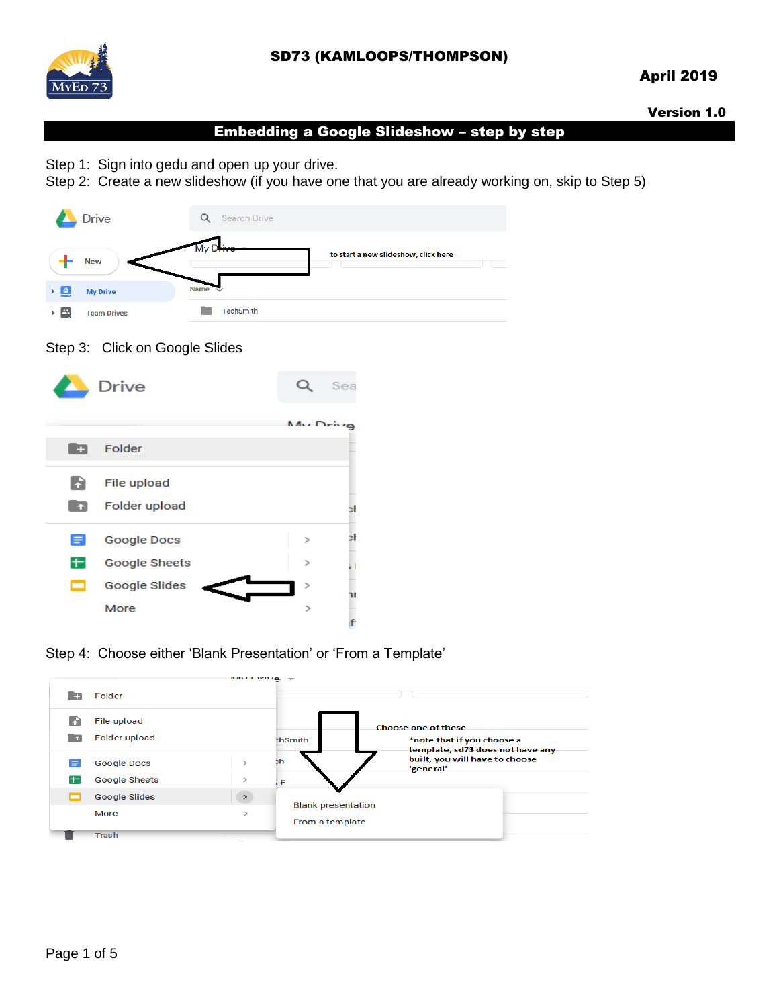

## SD73 (KAMLOOPS/THOMPSON)

## April 2019

Version 1.0

### Embedding a Google Slideshow – step by step

Step 1: Sign into gedu and open up your drive.

Step 2: Create a new slideshow (if you have one that you are already working on, skip to Step 5)



#### Step 3: Click on Google Slides



Step 4: Choose either 'Blank Presentation' or 'From a Template'

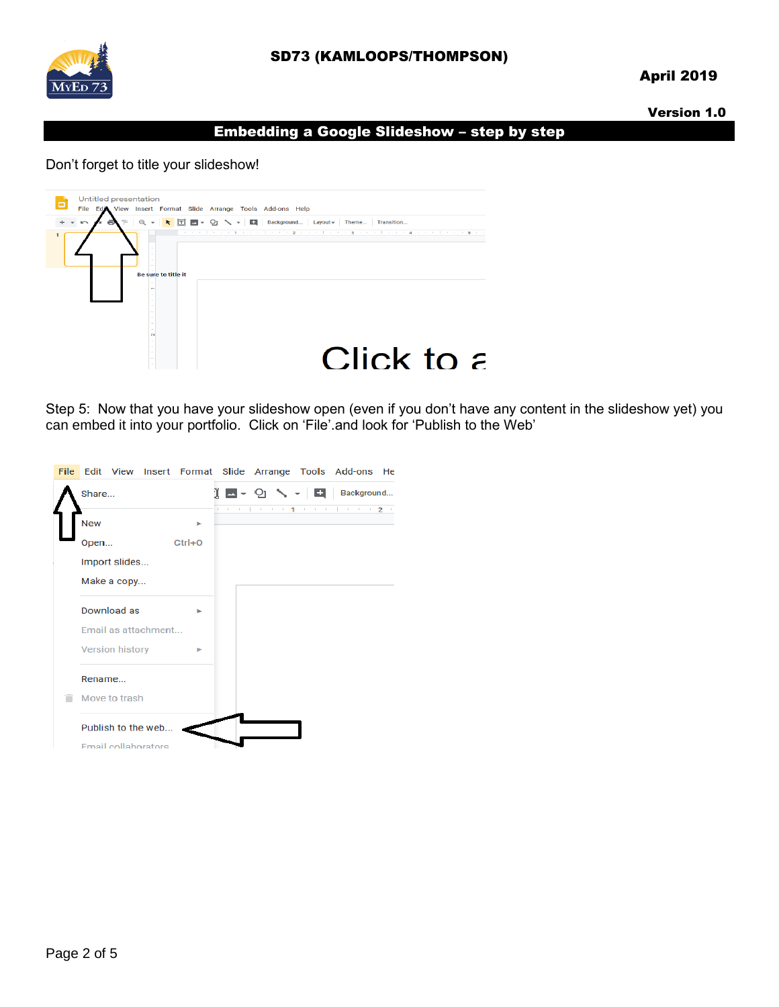

## SD73 (KAMLOOPS/THOMPSON)

## April 2019

#### Version 1.0

#### Embedding a Google Slideshow – step by step

#### Don't forget to title your slideshow!



Step 5: Now that you have your slideshow open (even if you don't have any content in the slideshow yet) you can embed it into your portfolio. Click on 'File'.and look for 'Publish to the Web'

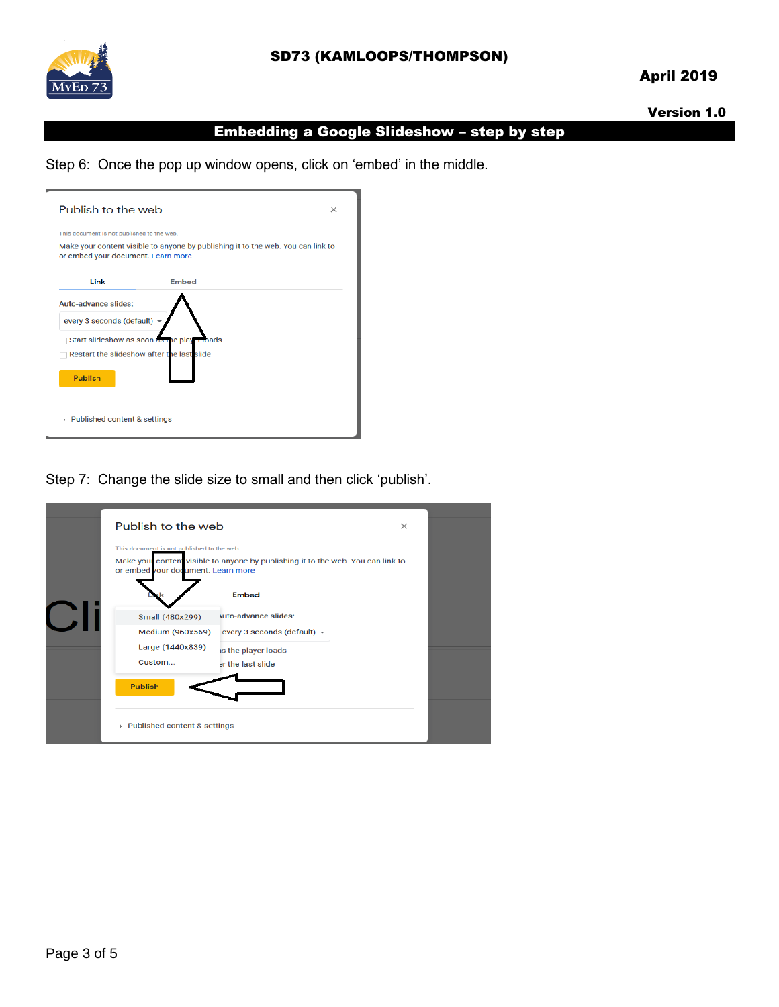

## April 2019

#### Version 1.0

# Embedding a Google Slideshow – step by step

Step 6: Once the pop up window opens, click on 'embed' in the middle.

| Publish to the web<br>$\times$                                                                                         |                                             |  |
|------------------------------------------------------------------------------------------------------------------------|---------------------------------------------|--|
| This document is not published to the web.                                                                             |                                             |  |
| Make your content visible to anyone by publishing it to the web. You can link to<br>or embed your document. Learn more |                                             |  |
| Link                                                                                                                   | Embed                                       |  |
| Auto-advance slides:                                                                                                   |                                             |  |
| every 3 seconds (default)                                                                                              |                                             |  |
|                                                                                                                        | Start slideshow as soon as the player loads |  |
| Restart the slideshow after the last slide                                                                             |                                             |  |
| <b>Publish</b>                                                                                                         |                                             |  |
| ▶ Published content & settings                                                                                         |                                             |  |

Step 7: Change the slide size to small and then click 'publish'.

| Publish to the web                                                               |                                                                                                | $\times$ |  |
|----------------------------------------------------------------------------------|------------------------------------------------------------------------------------------------|----------|--|
| This document is not published to the web.<br>or embed your document. Learn more | Make you conten visible to anyone by publishing it to the web. You can link to<br><b>Embed</b> |          |  |
| Small (480x299)<br>Medium (960x569)                                              | uto-advance slides:<br>every 3 seconds (default) -                                             |          |  |
| Large (1440x839)<br>Custom                                                       | is the player loads<br>er the last slide                                                       |          |  |
| <b>Publish</b>                                                                   |                                                                                                |          |  |
| ▶ Published content & settings                                                   |                                                                                                |          |  |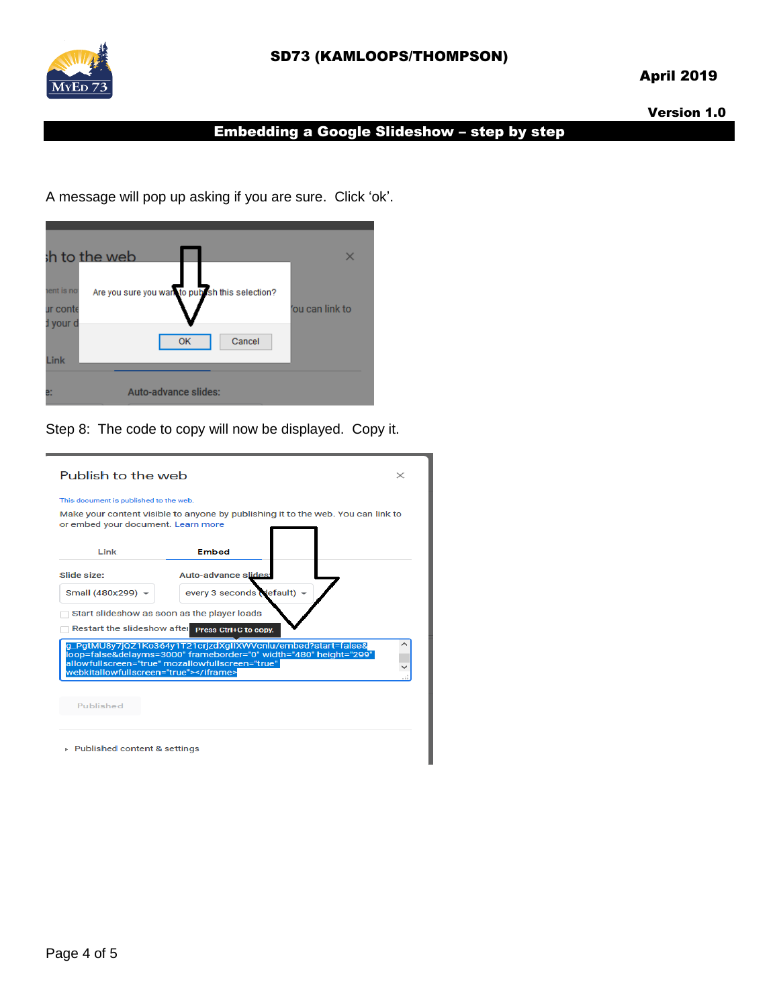

# SD73 (KAMLOOPS/THOMPSON)

## April 2019

#### Version 1.0

# Embedding a Google Slideshow – step by step

A message will pop up asking if you are sure. Click 'ok'.



Step 8: The code to copy will now be displayed. Copy it.

| Publish to the web<br>$\times$                                                                                                                                                                                        |                           |  |  |  |
|-----------------------------------------------------------------------------------------------------------------------------------------------------------------------------------------------------------------------|---------------------------|--|--|--|
| This document is published to the web.<br>Make your content visible to anyone by publishing it to the web. You can link to<br>or embed your document. Learn more                                                      |                           |  |  |  |
| Link                                                                                                                                                                                                                  | <b>Embed</b>              |  |  |  |
| Slide size:                                                                                                                                                                                                           | Auto-advance slides:      |  |  |  |
| Small (480x299) -                                                                                                                                                                                                     | every 3 seconds (default) |  |  |  |
| Start slideshow as soon as the player loads<br>Restart the slideshow after Press Ctrl+C to copy.                                                                                                                      |                           |  |  |  |
| q_PqtMU8y7jQZ1Ko364y1T21crjzdXqIIXWVcnlu/embed?start=false&<br>loop=false&delayms=3000" frameborder="0" width="480" height="299"<br>allowfullscreen="true" mozallowfullscreen="true"<br>webkitallowfullscreen="true"> |                           |  |  |  |
| Published                                                                                                                                                                                                             |                           |  |  |  |
| ▶ Published content & settings                                                                                                                                                                                        |                           |  |  |  |